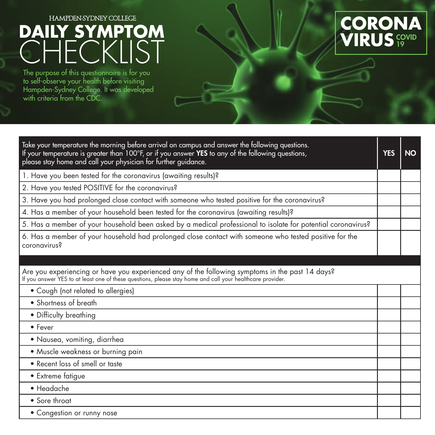## HAMPDEN-SYDNEY COLLEGE

## **DAILY SYMPTOM CHECKLIST**

The purpose of this questionnaire is for you to self-observe your health before visiting Hampden-Sydney College. It was developed with criteria from the CDC.



| Take your temperature the morning before arrival on campus and answer the following questions.<br>If your temperature is greater than 100°F, or if you answer YES to any of the following questions,<br>please stay home and call your physician for further guidance. | <b>YES</b> | <b>NO</b> |
|------------------------------------------------------------------------------------------------------------------------------------------------------------------------------------------------------------------------------------------------------------------------|------------|-----------|
| 1. Have you been tested for the coronavirus (awaiting results)?                                                                                                                                                                                                        |            |           |
| 2. Have you tested POSITIVE for the coronavirus?                                                                                                                                                                                                                       |            |           |
| 3. Have you had prolonged close contact with someone who tested positive for the coronavirus?                                                                                                                                                                          |            |           |
| 4. Has a member of your household been tested for the coronavirus (awaiting results)?                                                                                                                                                                                  |            |           |
| 5. Has a member of your household been asked by a medical professional to isolate for potential coronavirus?                                                                                                                                                           |            |           |
| 6. Has a member of your household had prolonged close contact with someone who tested positive for the<br>coronavirus?                                                                                                                                                 |            |           |
|                                                                                                                                                                                                                                                                        |            |           |
| Are you experiencing or have you experienced any of the following symptoms in the past 14 days?<br>If you answer YES to at least one of these questions, please stay home and call your healthcare provider.                                                           |            |           |
| • Cough (not related to allergies)                                                                                                                                                                                                                                     |            |           |
| • Shortness of breath                                                                                                                                                                                                                                                  |            |           |
| • Difficulty breathing                                                                                                                                                                                                                                                 |            |           |
| • Fever                                                                                                                                                                                                                                                                |            |           |
| • Nausea, vomiting, diarrhea                                                                                                                                                                                                                                           |            |           |
| • Muscle weakness or burning pain                                                                                                                                                                                                                                      |            |           |
| • Recent loss of smell or taste                                                                                                                                                                                                                                        |            |           |
| • Extreme fatigue                                                                                                                                                                                                                                                      |            |           |
| • Headache                                                                                                                                                                                                                                                             |            |           |
| • Sore throat                                                                                                                                                                                                                                                          |            |           |
| • Congestion or runny nose                                                                                                                                                                                                                                             |            |           |